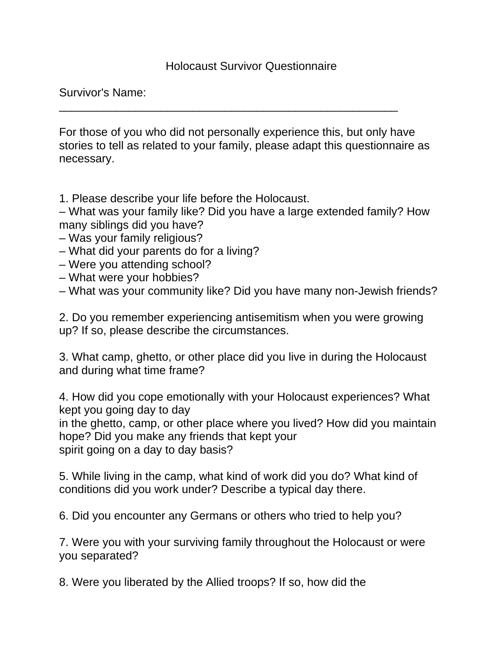## Holocaust Survivor Questionnaire

Survivor's Name:

For those of you who did not personally experience this, but only have stories to tell as related to your family, please adapt this questionnaire as necessary.

\_\_\_\_\_\_\_\_\_\_\_\_\_\_\_\_\_\_\_\_\_\_\_\_\_\_\_\_\_\_\_\_\_\_\_\_\_\_\_\_\_\_\_\_\_\_\_\_\_\_\_\_\_

1. Please describe your life before the Holocaust.

– What was your family like? Did you have a large extended family? How many siblings did you have?

- Was your family religious?
- What did your parents do for a living?
- Were you attending school?
- What were your hobbies?

– What was your community like? Did you have many non-Jewish friends?

2. Do you remember experiencing antisemitism when you were growing up? If so, please describe the circumstances.

3. What camp, ghetto, or other place did you live in during the Holocaust and during what time frame?

4. How did you cope emotionally with your Holocaust experiences? What kept you going day to day

in the ghetto, camp, or other place where you lived? How did you maintain hope? Did you make any friends that kept your spirit going on a day to day basis?

5. While living in the camp, what kind of work did you do? What kind of conditions did you work under? Describe a typical day there.

6. Did you encounter any Germans or others who tried to help you?

7. Were you with your surviving family throughout the Holocaust or were you separated?

8. Were you liberated by the Allied troops? If so, how did the